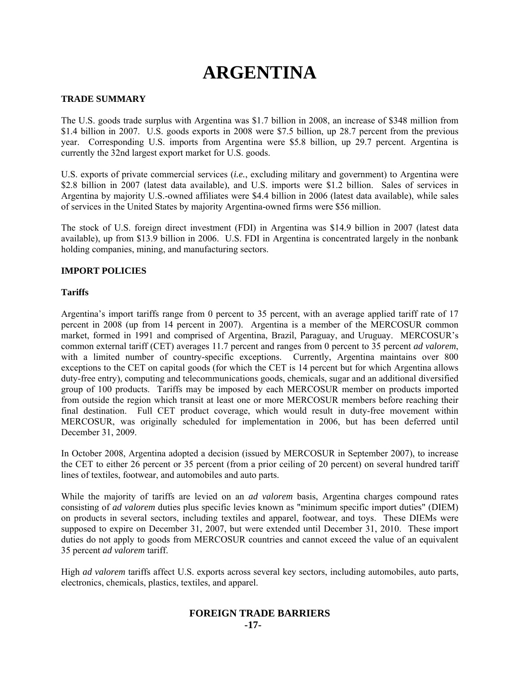# **ARGENTINA**

# **TRADE SUMMARY**

The U.S. goods trade surplus with Argentina was \$1.7 billion in 2008, an increase of \$348 million from \$1.4 billion in 2007. U.S. goods exports in 2008 were \$7.5 billion, up 28.7 percent from the previous year. Corresponding U.S. imports from Argentina were \$5.8 billion, up 29.7 percent. Argentina is currently the 32nd largest export market for U.S. goods.

U.S. exports of private commercial services (*i.e.*, excluding military and government) to Argentina were \$2.8 billion in 2007 (latest data available), and U.S. imports were \$1.2 billion. Sales of services in Argentina by majority U.S.-owned affiliates were \$4.4 billion in 2006 (latest data available), while sales of services in the United States by majority Argentina-owned firms were \$56 million.

The stock of U.S. foreign direct investment (FDI) in Argentina was \$14.9 billion in 2007 (latest data available), up from \$13.9 billion in 2006. U.S. FDI in Argentina is concentrated largely in the nonbank holding companies, mining, and manufacturing sectors.

# **IMPORT POLICIES**

# **Tariffs**

Argentina's import tariffs range from 0 percent to 35 percent, with an average applied tariff rate of 17 percent in 2008 (up from 14 percent in 2007). Argentina is a member of the MERCOSUR common market, formed in 1991 and comprised of Argentina, Brazil, Paraguay, and Uruguay. MERCOSUR's common external tariff (CET) averages 11.7 percent and ranges from 0 percent to 35 percent *ad valorem*, with a limited number of country-specific exceptions. Currently, Argentina maintains over 800 exceptions to the CET on capital goods (for which the CET is 14 percent but for which Argentina allows duty-free entry), computing and telecommunications goods, chemicals, sugar and an additional diversified group of 100 products. Tariffs may be imposed by each MERCOSUR member on products imported from outside the region which transit at least one or more MERCOSUR members before reaching their final destination. Full CET product coverage, which would result in duty-free movement within MERCOSUR, was originally scheduled for implementation in 2006, but has been deferred until December 31, 2009.

In October 2008, Argentina adopted a decision (issued by MERCOSUR in September 2007), to increase the CET to either 26 percent or 35 percent (from a prior ceiling of 20 percent) on several hundred tariff lines of textiles, footwear, and automobiles and auto parts.

While the majority of tariffs are levied on an *ad valorem* basis, Argentina charges compound rates consisting of *ad valorem* duties plus specific levies known as "minimum specific import duties" (DIEM) on products in several sectors, including textiles and apparel, footwear, and toys. These DIEMs were supposed to expire on December 31, 2007, but were extended until December 31, 2010. These import duties do not apply to goods from MERCOSUR countries and cannot exceed the value of an equivalent 35 percent *ad valorem* tariff.

High *ad valorem* tariffs affect U.S. exports across several key sectors, including automobiles, auto parts, electronics, chemicals, plastics, textiles, and apparel.

#### **FOREIGN TRADE BARRIERS -17-**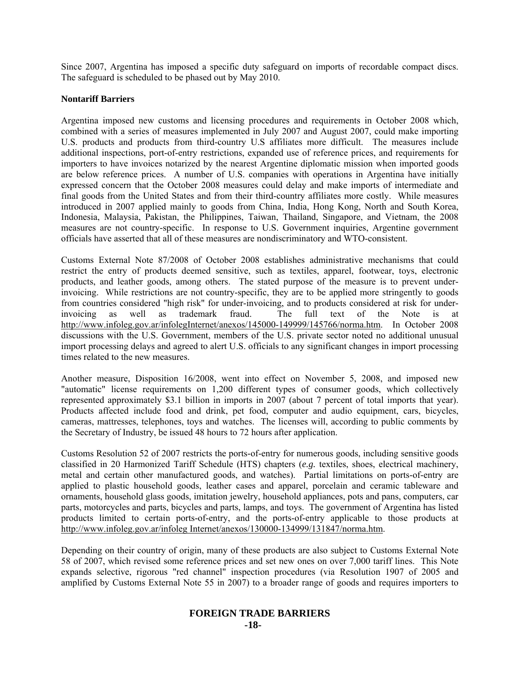Since 2007, Argentina has imposed a specific duty safeguard on imports of recordable compact discs. The safeguard is scheduled to be phased out by May 2010.

# **Nontariff Barriers**

Argentina imposed new customs and licensing procedures and requirements in October 2008 which, combined with a series of measures implemented in July 2007 and August 2007, could make importing U.S. products and products from third-country U.S affiliates more difficult. The measures include additional inspections, port-of-entry restrictions, expanded use of reference prices, and requirements for importers to have invoices notarized by the nearest Argentine diplomatic mission when imported goods are below reference prices. A number of U.S. companies with operations in Argentina have initially expressed concern that the October 2008 measures could delay and make imports of intermediate and final goods from the United States and from their third-country affiliates more costly. While measures introduced in 2007 applied mainly to goods from China, India, Hong Kong, North and South Korea, Indonesia, Malaysia, Pakistan, the Philippines, Taiwan, Thailand, Singapore, and Vietnam, the 2008 measures are not country-specific. In response to U.S. Government inquiries, Argentine government officials have asserted that all of these measures are nondiscriminatory and WTO-consistent.

Customs External Note 87/2008 of October 2008 establishes administrative mechanisms that could restrict the entry of products deemed sensitive, such as textiles, apparel, footwear, toys, electronic products, and leather goods, among others. The stated purpose of the measure is to prevent underinvoicing. While restrictions are not country-specific, they are to be applied more stringently to goods from countries considered "high risk" for under-invoicing, and to products considered at risk for underinvoicing as well as trademark fraud. The full text of the Note is at http://www.infoleg.gov.ar/infolegInternet/anexos/145000-149999/145766/norma.htm. In October 2008 discussions with the U.S. Government, members of the U.S. private sector noted no additional unusual import processing delays and agreed to alert U.S. officials to any significant changes in import processing times related to the new measures.

Another measure, Disposition 16/2008, went into effect on November 5, 2008, and imposed new "automatic" license requirements on 1,200 different types of consumer goods, which collectively represented approximately \$3.1 billion in imports in 2007 (about 7 percent of total imports that year). Products affected include food and drink, pet food, computer and audio equipment, cars, bicycles, cameras, mattresses, telephones, toys and watches. The licenses will, according to public comments by the Secretary of Industry, be issued 48 hours to 72 hours after application.

Customs Resolution 52 of 2007 restricts the ports-of-entry for numerous goods, including sensitive goods classified in 20 Harmonized Tariff Schedule (HTS) chapters (*e.g.* textiles, shoes, electrical machinery, metal and certain other manufactured goods, and watches). Partial limitations on ports-of-entry are applied to plastic household goods, leather cases and apparel, porcelain and ceramic tableware and ornaments, household glass goods, imitation jewelry, household appliances, pots and pans, computers, car parts, motorcycles and parts, bicycles and parts, lamps, and toys. The government of Argentina has listed products limited to certain ports-of-entry, and the ports-of-entry applicable to those products at http://www.infoleg.gov.ar/infoleg Internet/anexos/130000-134999/131847/norma.htm.

Depending on their country of origin, many of these products are also subject to Customs External Note 58 of 2007, which revised some reference prices and set new ones on over 7,000 tariff lines. This Note expands selective, rigorous "red channel" inspection procedures (via Resolution 1907 of 2005 and amplified by Customs External Note 55 in 2007) to a broader range of goods and requires importers to

# **FOREIGN TRADE BARRIERS -18-**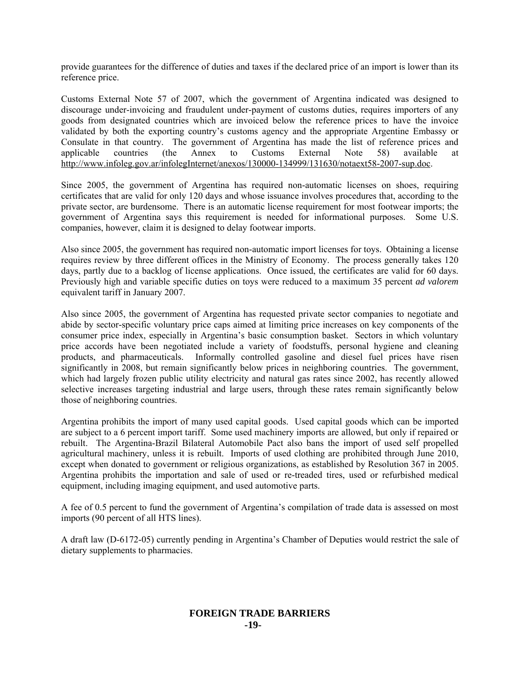provide guarantees for the difference of duties and taxes if the declared price of an import is lower than its reference price.

Customs External Note 57 of 2007, which the government of Argentina indicated was designed to discourage under-invoicing and fraudulent under-payment of customs duties, requires importers of any goods from designated countries which are invoiced below the reference prices to have the invoice validated by both the exporting country's customs agency and the appropriate Argentine Embassy or Consulate in that country. The government of Argentina has made the list of reference prices and applicable countries (the Annex to Customs External Note 58) available at http://www.infoleg.gov.ar/infolegInternet/anexos/130000-134999/131630/notaext58-2007-sup.doc.

Since 2005, the government of Argentina has required non-automatic licenses on shoes, requiring certificates that are valid for only 120 days and whose issuance involves procedures that, according to the private sector, are burdensome. There is an automatic license requirement for most footwear imports; the government of Argentina says this requirement is needed for informational purposes. Some U.S. companies, however, claim it is designed to delay footwear imports.

Also since 2005, the government has required non-automatic import licenses for toys. Obtaining a license requires review by three different offices in the Ministry of Economy. The process generally takes 120 days, partly due to a backlog of license applications. Once issued, the certificates are valid for 60 days. Previously high and variable specific duties on toys were reduced to a maximum 35 percent *ad valorem*  equivalent tariff in January 2007.

Also since 2005, the government of Argentina has requested private sector companies to negotiate and abide by sector-specific voluntary price caps aimed at limiting price increases on key components of the consumer price index, especially in Argentina's basic consumption basket. Sectors in which voluntary price accords have been negotiated include a variety of foodstuffs, personal hygiene and cleaning products, and pharmaceuticals. Informally controlled gasoline and diesel fuel prices have risen significantly in 2008, but remain significantly below prices in neighboring countries. The government, which had largely frozen public utility electricity and natural gas rates since 2002, has recently allowed selective increases targeting industrial and large users, through these rates remain significantly below those of neighboring countries.

Argentina prohibits the import of many used capital goods. Used capital goods which can be imported are subject to a 6 percent import tariff. Some used machinery imports are allowed, but only if repaired or rebuilt. The Argentina-Brazil Bilateral Automobile Pact also bans the import of used self propelled agricultural machinery, unless it is rebuilt. Imports of used clothing are prohibited through June 2010, except when donated to government or religious organizations, as established by Resolution 367 in 2005. Argentina prohibits the importation and sale of used or re-treaded tires, used or refurbished medical equipment, including imaging equipment, and used automotive parts.

A fee of 0.5 percent to fund the government of Argentina's compilation of trade data is assessed on most imports (90 percent of all HTS lines).

A draft law (D-6172-05) currently pending in Argentina's Chamber of Deputies would restrict the sale of dietary supplements to pharmacies.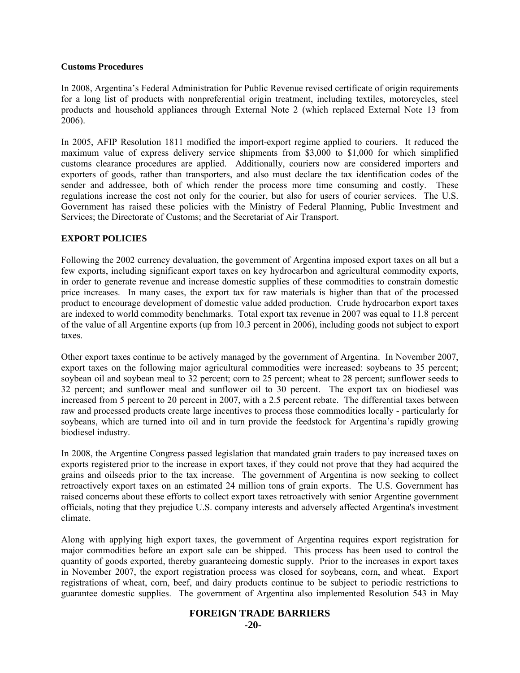#### **Customs Procedures**

In 2008, Argentina's Federal Administration for Public Revenue revised certificate of origin requirements for a long list of products with nonpreferential origin treatment, including textiles, motorcycles, steel products and household appliances through External Note 2 (which replaced External Note 13 from 2006).

In 2005, AFIP Resolution 1811 modified the import-export regime applied to couriers. It reduced the maximum value of express delivery service shipments from \$3,000 to \$1,000 for which simplified customs clearance procedures are applied. Additionally, couriers now are considered importers and exporters of goods, rather than transporters, and also must declare the tax identification codes of the sender and addressee, both of which render the process more time consuming and costly. These regulations increase the cost not only for the courier, but also for users of courier services. The U.S. Government has raised these policies with the Ministry of Federal Planning, Public Investment and Services; the Directorate of Customs; and the Secretariat of Air Transport.

# **EXPORT POLICIES**

Following the 2002 currency devaluation, the government of Argentina imposed export taxes on all but a few exports, including significant export taxes on key hydrocarbon and agricultural commodity exports, in order to generate revenue and increase domestic supplies of these commodities to constrain domestic price increases. In many cases, the export tax for raw materials is higher than that of the processed product to encourage development of domestic value added production. Crude hydrocarbon export taxes are indexed to world commodity benchmarks. Total export tax revenue in 2007 was equal to 11.8 percent of the value of all Argentine exports (up from 10.3 percent in 2006), including goods not subject to export taxes.

Other export taxes continue to be actively managed by the government of Argentina. In November 2007, export taxes on the following major agricultural commodities were increased: soybeans to 35 percent; soybean oil and soybean meal to 32 percent; corn to 25 percent; wheat to 28 percent; sunflower seeds to 32 percent; and sunflower meal and sunflower oil to 30 percent. The export tax on biodiesel was increased from 5 percent to 20 percent in 2007, with a 2.5 percent rebate. The differential taxes between raw and processed products create large incentives to process those commodities locally - particularly for soybeans, which are turned into oil and in turn provide the feedstock for Argentina's rapidly growing biodiesel industry.

In 2008, the Argentine Congress passed legislation that mandated grain traders to pay increased taxes on exports registered prior to the increase in export taxes, if they could not prove that they had acquired the grains and oilseeds prior to the tax increase. The government of Argentina is now seeking to collect retroactively export taxes on an estimated 24 million tons of grain exports. The U.S. Government has raised concerns about these efforts to collect export taxes retroactively with senior Argentine government officials, noting that they prejudice U.S. company interests and adversely affected Argentina's investment climate.

Along with applying high export taxes, the government of Argentina requires export registration for major commodities before an export sale can be shipped. This process has been used to control the quantity of goods exported, thereby guaranteeing domestic supply. Prior to the increases in export taxes in November 2007, the export registration process was closed for soybeans, corn, and wheat. Export registrations of wheat, corn, beef, and dairy products continue to be subject to periodic restrictions to guarantee domestic supplies. The government of Argentina also implemented Resolution 543 in May

# **FOREIGN TRADE BARRIERS**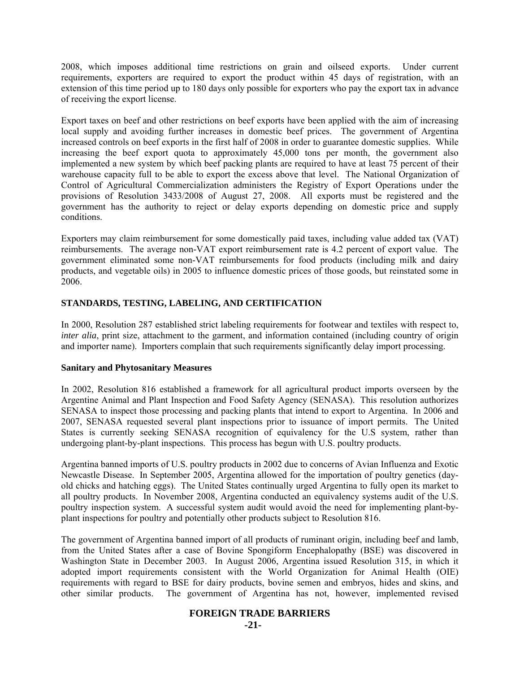2008, which imposes additional time restrictions on grain and oilseed exports. Under current requirements, exporters are required to export the product within 45 days of registration, with an extension of this time period up to 180 days only possible for exporters who pay the export tax in advance of receiving the export license.

Export taxes on beef and other restrictions on beef exports have been applied with the aim of increasing local supply and avoiding further increases in domestic beef prices. The government of Argentina increased controls on beef exports in the first half of 2008 in order to guarantee domestic supplies. While increasing the beef export quota to approximately 45,000 tons per month, the government also implemented a new system by which beef packing plants are required to have at least 75 percent of their warehouse capacity full to be able to export the excess above that level. The National Organization of Control of Agricultural Commercialization administers the Registry of Export Operations under the provisions of Resolution 3433/2008 of August 27, 2008. All exports must be registered and the government has the authority to reject or delay exports depending on domestic price and supply conditions.

Exporters may claim reimbursement for some domestically paid taxes, including value added tax (VAT) reimbursements. The average non-VAT export reimbursement rate is 4.2 percent of export value. The government eliminated some non-VAT reimbursements for food products (including milk and dairy products, and vegetable oils) in 2005 to influence domestic prices of those goods, but reinstated some in 2006.

# **STANDARDS, TESTING, LABELING, AND CERTIFICATION**

In 2000, Resolution 287 established strict labeling requirements for footwear and textiles with respect to, *inter alia*, print size, attachment to the garment, and information contained (including country of origin and importer name). Importers complain that such requirements significantly delay import processing.

# **Sanitary and Phytosanitary Measures**

In 2002, Resolution 816 established a framework for all agricultural product imports overseen by the Argentine Animal and Plant Inspection and Food Safety Agency (SENASA). This resolution authorizes SENASA to inspect those processing and packing plants that intend to export to Argentina. In 2006 and 2007, SENASA requested several plant inspections prior to issuance of import permits. The United States is currently seeking SENASA recognition of equivalency for the U.S system, rather than undergoing plant-by-plant inspections. This process has begun with U.S. poultry products.

Argentina banned imports of U.S. poultry products in 2002 due to concerns of Avian Influenza and Exotic Newcastle Disease. In September 2005, Argentina allowed for the importation of poultry genetics (dayold chicks and hatching eggs). The United States continually urged Argentina to fully open its market to all poultry products. In November 2008, Argentina conducted an equivalency systems audit of the U.S. poultry inspection system. A successful system audit would avoid the need for implementing plant-byplant inspections for poultry and potentially other products subject to Resolution 816.

The government of Argentina banned import of all products of ruminant origin, including beef and lamb, from the United States after a case of Bovine Spongiform Encephalopathy (BSE) was discovered in Washington State in December 2003. In August 2006, Argentina issued Resolution 315, in which it adopted import requirements consistent with the World Organization for Animal Health (OIE) requirements with regard to BSE for dairy products, bovine semen and embryos, hides and skins, and other similar products. The government of Argentina has not, however, implemented revised

# **FOREIGN TRADE BARRIERS**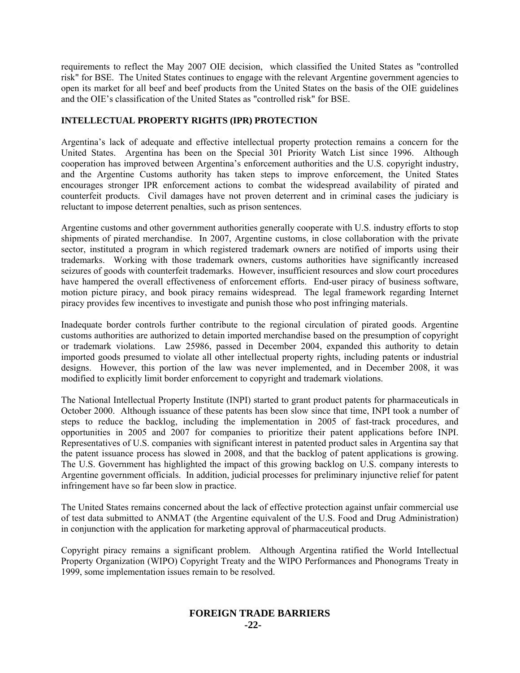requirements to reflect the May 2007 OIE decision, which classified the United States as "controlled risk" for BSE. The United States continues to engage with the relevant Argentine government agencies to open its market for all beef and beef products from the United States on the basis of the OIE guidelines and the OIE's classification of the United States as "controlled risk" for BSE.

# **INTELLECTUAL PROPERTY RIGHTS (IPR) PROTECTION**

Argentina's lack of adequate and effective intellectual property protection remains a concern for the United States. Argentina has been on the Special 301 Priority Watch List since 1996. Although cooperation has improved between Argentina's enforcement authorities and the U.S. copyright industry, and the Argentine Customs authority has taken steps to improve enforcement, the United States encourages stronger IPR enforcement actions to combat the widespread availability of pirated and counterfeit products. Civil damages have not proven deterrent and in criminal cases the judiciary is reluctant to impose deterrent penalties, such as prison sentences.

Argentine customs and other government authorities generally cooperate with U.S. industry efforts to stop shipments of pirated merchandise. In 2007, Argentine customs, in close collaboration with the private sector, instituted a program in which registered trademark owners are notified of imports using their trademarks. Working with those trademark owners, customs authorities have significantly increased seizures of goods with counterfeit trademarks. However, insufficient resources and slow court procedures have hampered the overall effectiveness of enforcement efforts. End-user piracy of business software, motion picture piracy, and book piracy remains widespread. The legal framework regarding Internet piracy provides few incentives to investigate and punish those who post infringing materials.

Inadequate border controls further contribute to the regional circulation of pirated goods. Argentine customs authorities are authorized to detain imported merchandise based on the presumption of copyright or trademark violations. Law 25986, passed in December 2004, expanded this authority to detain imported goods presumed to violate all other intellectual property rights, including patents or industrial designs. However, this portion of the law was never implemented, and in December 2008, it was modified to explicitly limit border enforcement to copyright and trademark violations.

The National Intellectual Property Institute (INPI) started to grant product patents for pharmaceuticals in October 2000. Although issuance of these patents has been slow since that time, INPI took a number of steps to reduce the backlog, including the implementation in 2005 of fast-track procedures, and opportunities in 2005 and 2007 for companies to prioritize their patent applications before INPI. Representatives of U.S. companies with significant interest in patented product sales in Argentina say that the patent issuance process has slowed in 2008, and that the backlog of patent applications is growing. The U.S. Government has highlighted the impact of this growing backlog on U.S. company interests to Argentine government officials. In addition, judicial processes for preliminary injunctive relief for patent infringement have so far been slow in practice.

The United States remains concerned about the lack of effective protection against unfair commercial use of test data submitted to ANMAT (the Argentine equivalent of the U.S. Food and Drug Administration) in conjunction with the application for marketing approval of pharmaceutical products.

Copyright piracy remains a significant problem. Although Argentina ratified the World Intellectual Property Organization (WIPO) Copyright Treaty and the WIPO Performances and Phonograms Treaty in 1999, some implementation issues remain to be resolved.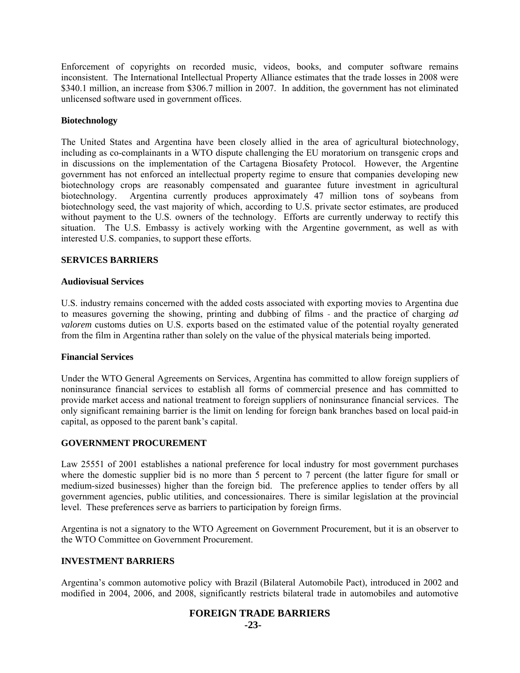Enforcement of copyrights on recorded music, videos, books, and computer software remains inconsistent. The International Intellectual Property Alliance estimates that the trade losses in 2008 were \$340.1 million, an increase from \$306.7 million in 2007. In addition, the government has not eliminated unlicensed software used in government offices.

#### **Biotechnology**

The United States and Argentina have been closely allied in the area of agricultural biotechnology, including as co-complainants in a WTO dispute challenging the EU moratorium on transgenic crops and in discussions on the implementation of the Cartagena Biosafety Protocol. However, the Argentine government has not enforced an intellectual property regime to ensure that companies developing new biotechnology crops are reasonably compensated and guarantee future investment in agricultural biotechnology. Argentina currently produces approximately 47 million tons of soybeans from biotechnology seed, the vast majority of which, according to U.S. private sector estimates, are produced without payment to the U.S. owners of the technology. Efforts are currently underway to rectify this situation. The U.S. Embassy is actively working with the Argentine government, as well as with interested U.S. companies, to support these efforts.

# **SERVICES BARRIERS**

#### **Audiovisual Services**

U.S. industry remains concerned with the added costs associated with exporting movies to Argentina due to measures governing the showing, printing and dubbing of films - and the practice of charging *ad valorem* customs duties on U.S. exports based on the estimated value of the potential royalty generated from the film in Argentina rather than solely on the value of the physical materials being imported.

#### **Financial Services**

Under the WTO General Agreements on Services, Argentina has committed to allow foreign suppliers of noninsurance financial services to establish all forms of commercial presence and has committed to provide market access and national treatment to foreign suppliers of noninsurance financial services. The only significant remaining barrier is the limit on lending for foreign bank branches based on local paid-in capital, as opposed to the parent bank's capital.

#### **GOVERNMENT PROCUREMENT**

Law 25551 of 2001 establishes a national preference for local industry for most government purchases where the domestic supplier bid is no more than 5 percent to 7 percent (the latter figure for small or medium-sized businesses) higher than the foreign bid. The preference applies to tender offers by all government agencies, public utilities, and concessionaires. There is similar legislation at the provincial level. These preferences serve as barriers to participation by foreign firms.

Argentina is not a signatory to the WTO Agreement on Government Procurement, but it is an observer to the WTO Committee on Government Procurement.

# **INVESTMENT BARRIERS**

Argentina's common automotive policy with Brazil (Bilateral Automobile Pact), introduced in 2002 and modified in 2004, 2006, and 2008, significantly restricts bilateral trade in automobiles and automotive

# **FOREIGN TRADE BARRIERS**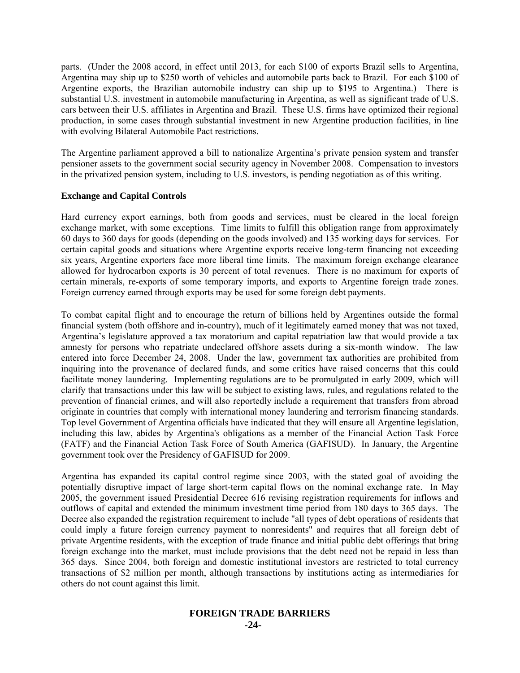parts. (Under the 2008 accord, in effect until 2013, for each \$100 of exports Brazil sells to Argentina, Argentina may ship up to \$250 worth of vehicles and automobile parts back to Brazil. For each \$100 of Argentine exports, the Brazilian automobile industry can ship up to \$195 to Argentina.) There is substantial U.S. investment in automobile manufacturing in Argentina, as well as significant trade of U.S. cars between their U.S. affiliates in Argentina and Brazil. These U.S. firms have optimized their regional production, in some cases through substantial investment in new Argentine production facilities, in line with evolving Bilateral Automobile Pact restrictions.

The Argentine parliament approved a bill to nationalize Argentina's private pension system and transfer pensioner assets to the government social security agency in November 2008. Compensation to investors in the privatized pension system, including to U.S. investors, is pending negotiation as of this writing.

# **Exchange and Capital Controls**

Hard currency export earnings, both from goods and services, must be cleared in the local foreign exchange market, with some exceptions. Time limits to fulfill this obligation range from approximately 60 days to 360 days for goods (depending on the goods involved) and 135 working days for services. For certain capital goods and situations where Argentine exports receive long-term financing not exceeding six years, Argentine exporters face more liberal time limits. The maximum foreign exchange clearance allowed for hydrocarbon exports is 30 percent of total revenues. There is no maximum for exports of certain minerals, re-exports of some temporary imports, and exports to Argentine foreign trade zones. Foreign currency earned through exports may be used for some foreign debt payments.

To combat capital flight and to encourage the return of billions held by Argentines outside the formal financial system (both offshore and in-country), much of it legitimately earned money that was not taxed, Argentina's legislature approved a tax moratorium and capital repatriation law that would provide a tax amnesty for persons who repatriate undeclared offshore assets during a six-month window. The law entered into force December 24, 2008. Under the law, government tax authorities are prohibited from inquiring into the provenance of declared funds, and some critics have raised concerns that this could facilitate money laundering. Implementing regulations are to be promulgated in early 2009, which will clarify that transactions under this law will be subject to existing laws, rules, and regulations related to the prevention of financial crimes, and will also reportedly include a requirement that transfers from abroad originate in countries that comply with international money laundering and terrorism financing standards. Top level Government of Argentina officials have indicated that they will ensure all Argentine legislation, including this law, abides by Argentina's obligations as a member of the Financial Action Task Force (FATF) and the Financial Action Task Force of South America (GAFISUD). In January, the Argentine government took over the Presidency of GAFISUD for 2009.

Argentina has expanded its capital control regime since 2003, with the stated goal of avoiding the potentially disruptive impact of large short-term capital flows on the nominal exchange rate. In May 2005, the government issued Presidential Decree 616 revising registration requirements for inflows and outflows of capital and extended the minimum investment time period from 180 days to 365 days. The Decree also expanded the registration requirement to include "all types of debt operations of residents that could imply a future foreign currency payment to nonresidents" and requires that all foreign debt of private Argentine residents, with the exception of trade finance and initial public debt offerings that bring foreign exchange into the market, must include provisions that the debt need not be repaid in less than 365 days. Since 2004, both foreign and domestic institutional investors are restricted to total currency transactions of \$2 million per month, although transactions by institutions acting as intermediaries for others do not count against this limit.